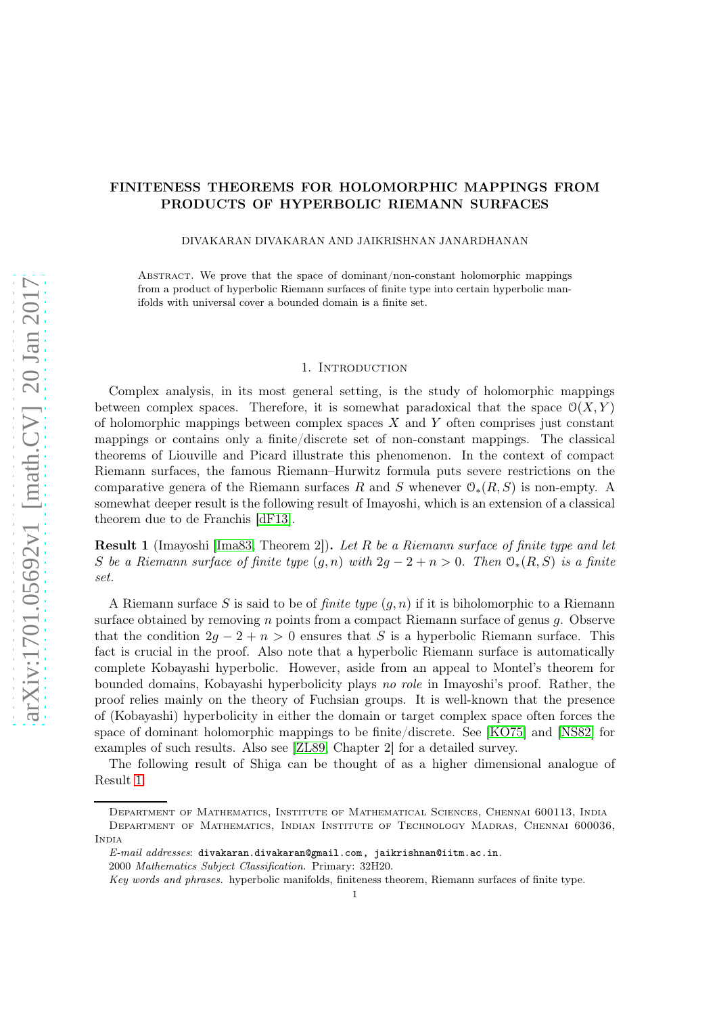# FINITENESS THEOREMS FOR HOLOMORPHIC MAPPINGS FROM PRODUCTS OF HYPERBOLIC RIEMANN SURFACES

DIVAKARAN DIVAKARAN AND JAIKRISHNAN JANARDHANAN

Abstract. We prove that the space of dominant/non-constant holomorphic mappings from a product of hyperbolic Riemann surfaces of finite type into certain hyperbolic manifolds with universal cover a bounded domain is a finite set.

#### 1. INTRODUCTION

Complex analysis, in its most general setting, is the study of holomorphic mappings between complex spaces. Therefore, it is somewhat paradoxical that the space  $\mathcal{O}(X, Y)$ of holomorphic mappings between complex spaces  $X$  and  $Y$  often comprises just constant mappings or contains only a finite/discrete set of non-constant mappings. The classical theorems of Liouville and Picard illustrate this phenomenon. In the context of compact Riemann surfaces, the famous Riemann–Hurwitz formula puts severe restrictions on the comparative genera of the Riemann surfaces R and S whenever  $\mathcal{O}_*(R, S)$  is non-empty. A somewhat deeper result is the following result of Imayoshi, which is an extension of a classical theorem due to de Franchis [\[dF13\]](#page-7-0).

<span id="page-0-0"></span>Result 1 (Imayoshi [\[Ima83,](#page-7-1) Theorem 2]). Let R be a Riemann surface of finite type and let S be a Riemann surface of finite type  $(g, n)$  with  $2g - 2 + n > 0$ . Then  $\mathcal{O}_*(R, S)$  is a finite set.

A Riemann surface S is said to be of *finite type*  $(q, n)$  if it is biholomorphic to a Riemann surface obtained by removing  $n$  points from a compact Riemann surface of genus  $q$ . Observe that the condition  $2g - 2 + n > 0$  ensures that S is a hyperbolic Riemann surface. This fact is crucial in the proof. Also note that a hyperbolic Riemann surface is automatically complete Kobayashi hyperbolic. However, aside from an appeal to Montel's theorem for bounded domains, Kobayashi hyperbolicity plays no role in Imayoshi's proof. Rather, the proof relies mainly on the theory of Fuchsian groups. It is well-known that the presence of (Kobayashi) hyperbolicity in either the domain or target complex space often forces the space of dominant holomorphic mappings to be finite/discrete. See [\[KO75\]](#page-7-2) and [\[NS82\]](#page-8-0) for examples of such results. Also see [\[ZL89,](#page-8-1) Chapter 2] for a detailed survey.

The following result of Shiga can be thought of as a higher dimensional analogue of Result [1.](#page-0-0)

Department of Mathematics, Institute of Mathematical Sciences, Chennai 600113, India Department of Mathematics, Indian Institute of Technology Madras, Chennai 600036, **INDIA** 

 $E-mail$  addresses: divakaran.divakaran@gmail.com, jaikrishnan@iitm.ac.in.

<sup>2000</sup> Mathematics Subject Classification. Primary: 32H20.

Key words and phrases. hyperbolic manifolds, finiteness theorem, Riemann surfaces of finite type.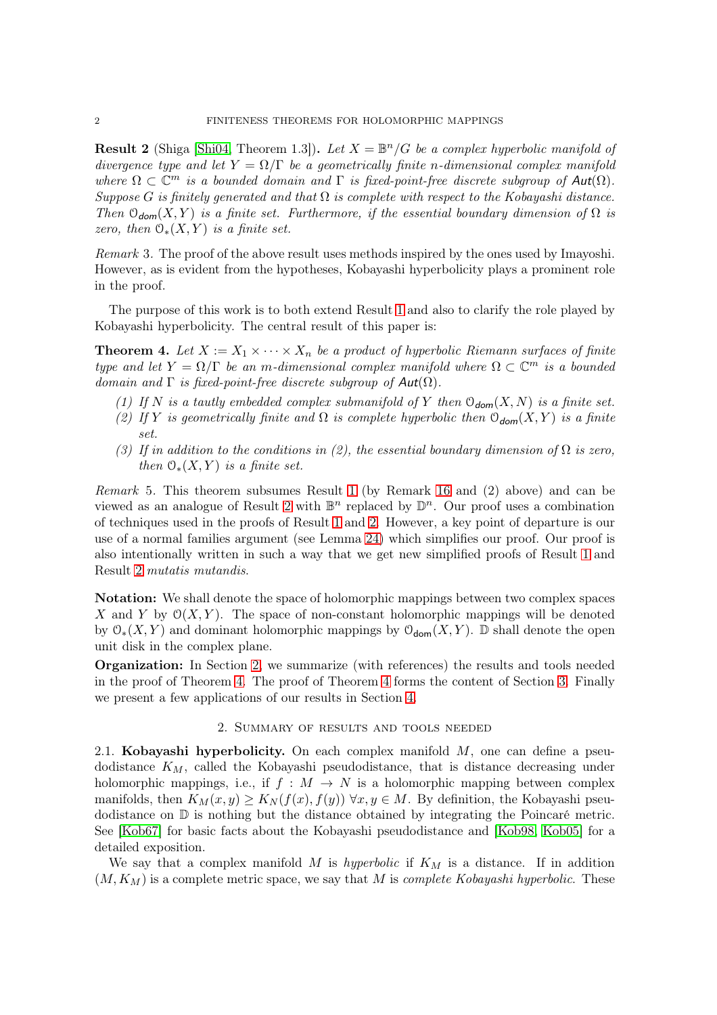<span id="page-1-0"></span>**Result 2** (Shiga [\[Shi04,](#page-8-2) Theorem 1.3]). Let  $X = \mathbb{B}^n/G$  be a complex hyperbolic manifold of divergence type and let  $Y = \Omega/\Gamma$  be a geometrically finite n-dimensional complex manifold where  $\Omega \subset \mathbb{C}^m$  is a bounded domain and  $\Gamma$  is fixed-point-free discrete subgroup of  $Aut(\Omega)$ . Suppose G is finitely generated and that  $\Omega$  is complete with respect to the Kobayashi distance. Then  $\mathfrak{O}_{\text{dom}}(X, Y)$  is a finite set. Furthermore, if the essential boundary dimension of  $\Omega$  is zero, then  $\mathcal{O}_*(X, Y)$  is a finite set.

Remark 3. The proof of the above result uses methods inspired by the ones used by Imayoshi. However, as is evident from the hypotheses, Kobayashi hyperbolicity plays a prominent role in the proof.

The purpose of this work is to both extend Result [1](#page-0-0) and also to clarify the role played by Kobayashi hyperbolicity. The central result of this paper is:

<span id="page-1-2"></span>**Theorem 4.** Let  $X := X_1 \times \cdots \times X_n$  be a product of hyperbolic Riemann surfaces of finite type and let  $Y = \Omega/\Gamma$  be an m-dimensional complex manifold where  $\Omega \subset \mathbb{C}^m$  is a bounded domain and  $\Gamma$  is fixed-point-free discrete subgroup of  $Aut(\Omega)$ .

- (1) If N is a tautly embedded complex submanifold of Y then  $\mathcal{O}_{\text{dom}}(X, N)$  is a finite set.
- (2) If Y is geometrically finite and  $\Omega$  is complete hyperbolic then  $\mathcal{O}_{\text{dom}}(X, Y)$  is a finite set.
- (3) If in addition to the conditions in (2), the essential boundary dimension of  $\Omega$  is zero, then  $\mathcal{O}_*(X, Y)$  is a finite set.

Remark 5. This theorem subsumes Result [1](#page-0-0) (by Remark [16](#page-3-0) and (2) above) and can be viewed as an analogue of Result [2](#page-1-0) with  $\mathbb{B}^n$  replaced by  $\mathbb{D}^n$ . Our proof uses a combination of techniques used in the proofs of Result [1](#page-0-0) and [2.](#page-1-0) However, a key point of departure is our use of a normal families argument (see Lemma [24\)](#page-5-0) which simplifies our proof. Our proof is also intentionally written in such a way that we get new simplified proofs of Result [1](#page-0-0) and Result [2](#page-1-0) mutatis mutandis.

Notation: We shall denote the space of holomorphic mappings between two complex spaces X and Y by  $\mathcal{O}(X, Y)$ . The space of non-constant holomorphic mappings will be denoted by  $\mathfrak{O}_{*}(X, Y)$  and dominant holomorphic mappings by  $\mathfrak{O}_{\text{dom}}(X, Y)$ . D shall denote the open unit disk in the complex plane.

Organization: In Section [2,](#page-1-1) we summarize (with references) the results and tools needed in the proof of Theorem [4.](#page-1-2) The proof of Theorem [4](#page-1-2) forms the content of Section [3.](#page-4-0) Finally we present a few applications of our results in Section [4.](#page-6-0)

## 2. Summary of results and tools needed

<span id="page-1-1"></span>2.1. Kobayashi hyperbolicity. On each complex manifold  $M$ , one can define a pseudodistance  $K_M$ , called the Kobayashi pseudodistance, that is distance decreasing under holomorphic mappings, i.e., if  $f : M \to N$  is a holomorphic mapping between complex manifolds, then  $K_M(x, y) \geq K_N(f(x), f(y))$   $\forall x, y \in M$ . By definition, the Kobayashi pseudodistance on D is nothing but the distance obtained by integrating the Poincaré metric. See [\[Kob67\]](#page-7-3) for basic facts about the Kobayashi pseudodistance and [\[Kob98,](#page-8-3) [Kob05\]](#page-8-4) for a detailed exposition.

We say that a complex manifold M is hyperbolic if  $K_M$  is a distance. If in addition  $(M, K_M)$  is a complete metric space, we say that M is *complete Kobayashi hyperbolic*. These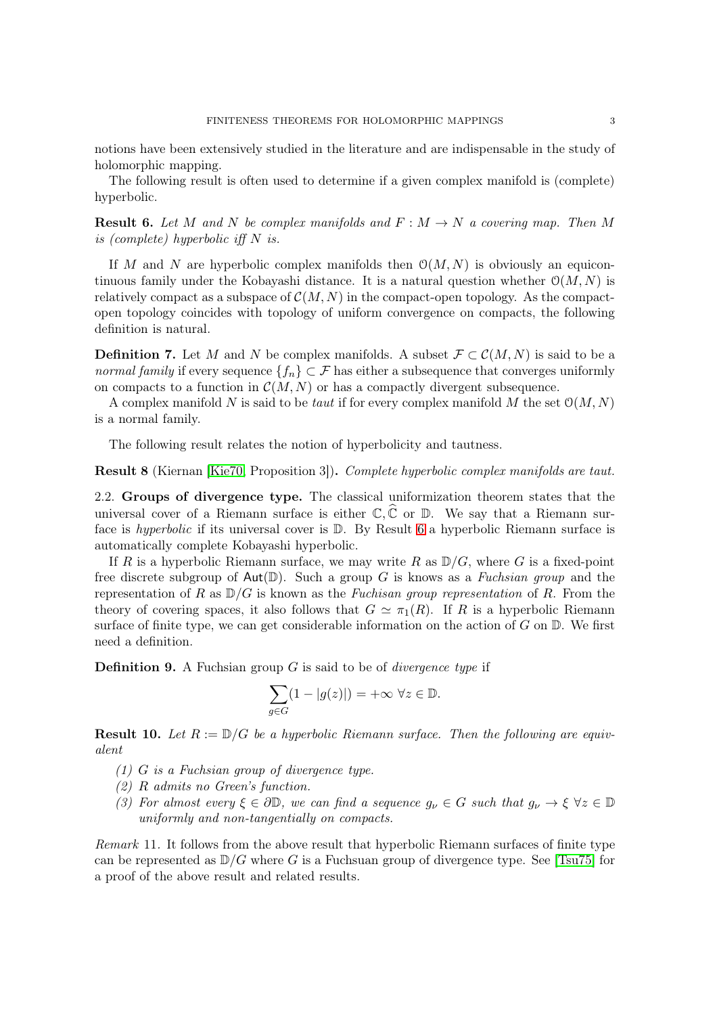notions have been extensively studied in the literature and are indispensable in the study of holomorphic mapping.

The following result is often used to determine if a given complex manifold is (complete) hyperbolic.

<span id="page-2-0"></span>**Result 6.** Let M and N be complex manifolds and  $F : M \to N$  a covering map. Then M is (complete) hyperbolic iff N is.

If M and N are hyperbolic complex manifolds then  $O(M, N)$  is obviously an equicontinuous family under the Kobayashi distance. It is a natural question whether  $\mathcal{O}(M, N)$  is relatively compact as a subspace of  $\mathcal{C}(M, N)$  in the compact-open topology. As the compactopen topology coincides with topology of uniform convergence on compacts, the following definition is natural.

**Definition 7.** Let M and N be complex manifolds. A subset  $\mathcal{F} \subset \mathcal{C}(M, N)$  is said to be a normal family if every sequence  $\{f_n\} \subset \mathcal{F}$  has either a subsequence that converges uniformly on compacts to a function in  $\mathcal{C}(M, N)$  or has a compactly divergent subsequence.

A complex manifold N is said to be taut if for every complex manifold M the set  $\mathcal{O}(M, N)$ is a normal family.

The following result relates the notion of hyperbolicity and tautness.

<span id="page-2-2"></span>Result 8 (Kiernan [\[Kie70,](#page-7-4) Proposition 3]). Complete hyperbolic complex manifolds are taut.

2.2. Groups of divergence type. The classical uniformization theorem states that the universal cover of a Riemann surface is either  $\mathbb{C}, \widehat{\mathbb{C}}$  or  $\mathbb{D}$ . We say that a Riemann surface is *hyperbolic* if its universal cover is  $\mathbb{D}$ . By Result [6](#page-2-0) a hyperbolic Riemann surface is automatically complete Kobayashi hyperbolic.

If R is a hyperbolic Riemann surface, we may write R as  $\mathbb{D}/G$ , where G is a fixed-point free discrete subgroup of  $Aut(\mathbb{D})$ . Such a group G is knows as a Fuchsian group and the representation of R as  $D/G$  is known as the *Fuchisan group representation* of R. From the theory of covering spaces, it also follows that  $G \simeq \pi_1(R)$ . If R is a hyperbolic Riemann surface of finite type, we can get considerable information on the action of  $G$  on  $\mathbb{D}$ . We first need a definition.

**Definition 9.** A Fuchsian group  $G$  is said to be of *divergence type* if

$$
\sum_{g \in G} (1 - |g(z)|) = +\infty \ \forall z \in \mathbb{D}.
$$

<span id="page-2-1"></span>**Result 10.** Let  $R := D/G$  be a hyperbolic Riemann surface. Then the following are equivalent

- (1) G is a Fuchsian group of divergence type.
- (2) R admits no Green's function.
- (3) For almost every  $\xi \in \partial \mathbb{D}$ , we can find a sequence  $g_{\nu} \in G$  such that  $g_{\nu} \to \xi \ \forall z \in \mathbb{D}$ uniformly and non-tangentially on compacts.

Remark 11. It follows from the above result that hyperbolic Riemann surfaces of finite type can be represented as  $D/G$  where G is a Fuchsuan group of divergence type. See [\[Tsu75\]](#page-8-5) for a proof of the above result and related results.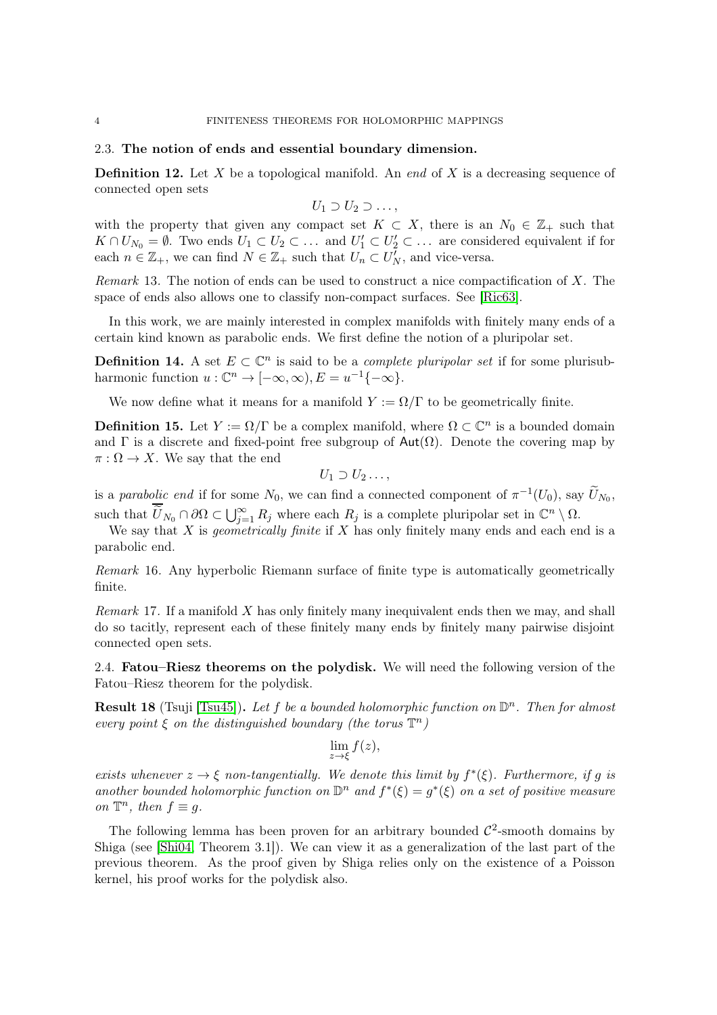### 2.3. The notion of ends and essential boundary dimension.

**Definition 12.** Let X be a topological manifold. An end of X is a decreasing sequence of connected open sets

$$
U_1 \supset U_2 \supset \ldots,
$$

with the property that given any compact set  $K \subset X$ , there is an  $N_0 \in \mathbb{Z}_+$  such that  $K \cap U_{N_0} = \emptyset$ . Two ends  $U_1 \subset U_2 \subset \ldots$  and  $U'_1 \subset U'_2 \subset \ldots$  are considered equivalent if for each  $n \in \mathbb{Z}_+$ , we can find  $N \in \mathbb{Z}_+$  such that  $U_n \subset U_N^{\gamma}$ , and vice-versa.

Remark 13. The notion of ends can be used to construct a nice compactification of X. The space of ends also allows one to classify non-compact surfaces. See [\[Ric63\]](#page-8-6).

In this work, we are mainly interested in complex manifolds with finitely many ends of a certain kind known as parabolic ends. We first define the notion of a pluripolar set.

**Definition 14.** A set  $E \subset \mathbb{C}^n$  is said to be a *complete pluripolar set* if for some plurisubharmonic function  $u : \mathbb{C}^n \to [-\infty, \infty), E = u^{-1}\{-\infty\}.$ 

We now define what it means for a manifold  $Y := \Omega/\Gamma$  to be geometrically finite.

**Definition 15.** Let  $Y := \Omega/\Gamma$  be a complex manifold, where  $\Omega \subset \mathbb{C}^n$  is a bounded domain and  $\Gamma$  is a discrete and fixed-point free subgroup of  $Aut(\Omega)$ . Denote the covering map by  $\pi : \Omega \to X$ . We say that the end

$$
U_1 \supset U_2 \ldots,
$$

is a parabolic end if for some  $N_0$ , we can find a connected component of  $\pi^{-1}(U_0)$ , say  $\widetilde{U}_{N_0}$ , such that  $\overline{\widetilde{U}}_{N_0} \cap \partial \Omega \subset \bigcup_{j=1}^{\infty} R_j$  where each  $R_j$  is a complete pluripolar set in  $\mathbb{C}^n \setminus \Omega$ .

We say that X is *geometrically finite* if X has only finitely many ends and each end is a parabolic end.

<span id="page-3-0"></span>Remark 16. Any hyperbolic Riemann surface of finite type is automatically geometrically finite.

Remark 17. If a manifold  $X$  has only finitely many inequivalent ends then we may, and shall do so tacitly, represent each of these finitely many ends by finitely many pairwise disjoint connected open sets.

2.4. Fatou–Riesz theorems on the polydisk. We will need the following version of the Fatou–Riesz theorem for the polydisk.

<span id="page-3-1"></span>**Result 18** (Tsuji [\[Tsu45\]](#page-8-7)). Let f be a bounded holomorphic function on  $\mathbb{D}^n$ . Then for almost every point  $\xi$  on the distinguished boundary (the torus  $\mathbb{T}^n$ )

$$
\lim_{z \to \xi} f(z),
$$

exists whenever  $z \to \xi$  non-tangentially. We denote this limit by  $f^*(\xi)$ . Furthermore, if g is another bounded holomorphic function on  $\mathbb{D}^n$  and  $f^*(\xi) = g^*(\xi)$  on a set of positive measure on  $\mathbb{T}^n$ , then  $f \equiv g$ .

The following lemma has been proven for an arbitrary bounded  $\mathcal{C}^2$ -smooth domains by Shiga (see [\[Shi04,](#page-8-2) Theorem 3.1]). We can view it as a generalization of the last part of the previous theorem. As the proof given by Shiga relies only on the existence of a Poisson kernel, his proof works for the polydisk also.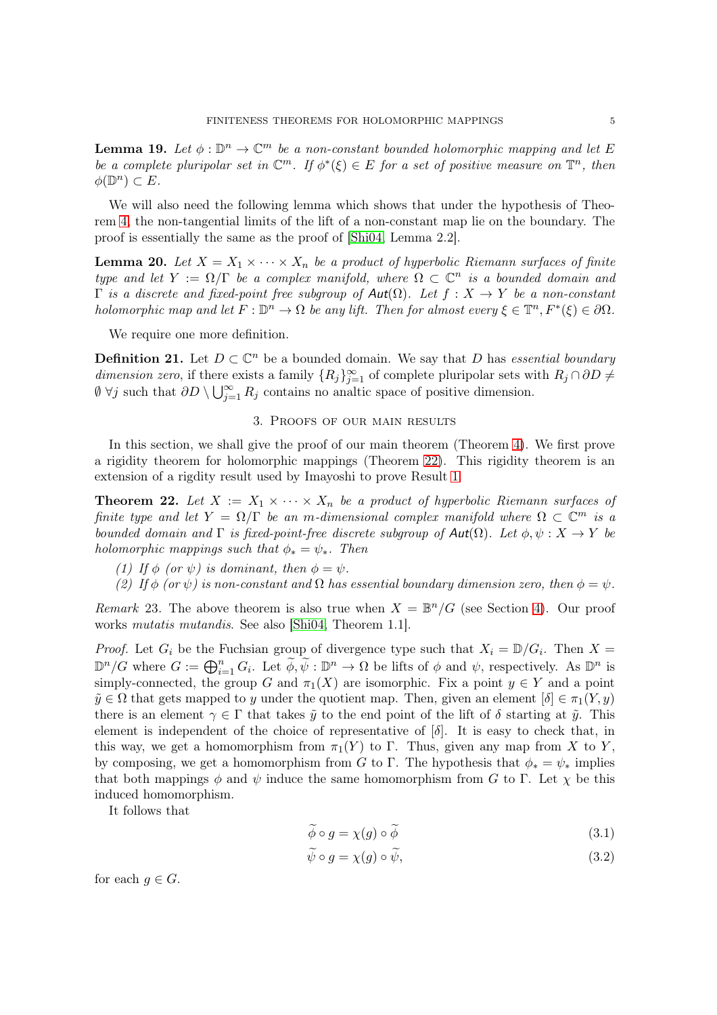<span id="page-4-4"></span>**Lemma 19.** Let  $\phi : \mathbb{D}^n \to \mathbb{C}^m$  be a non-constant bounded holomorphic mapping and let E be a complete pluripolar set in  $\mathbb{C}^m$ . If  $\phi^*(\xi) \in E$  for a set of positive measure on  $\mathbb{T}^n$ , then  $\phi(\mathbb{D}^n) \subset E.$ 

We will also need the following lemma which shows that under the hypothesis of Theorem [4,](#page-1-2) the non-tangential limits of the lift of a non-constant map lie on the boundary. The proof is essentially the same as the proof of [\[Shi04,](#page-8-2) Lemma 2.2].

**Lemma 20.** Let  $X = X_1 \times \cdots \times X_n$  be a product of hyperbolic Riemann surfaces of finite type and let  $Y := \Omega/\Gamma$  be a complex manifold, where  $\Omega \subset \mathbb{C}^n$  is a bounded domain and Γ is a discrete and fixed-point free subgroup of  $Aut(Ω)$ . Let  $f : X → Y$  be a non-constant holomorphic map and let  $F: \mathbb{D}^n \to \Omega$  be any lift. Then for almost every  $\xi \in \mathbb{T}^n, F^*(\xi) \in \partial \Omega$ .

We require one more definition.

**Definition 21.** Let  $D \subset \mathbb{C}^n$  be a bounded domain. We say that D has essential boundary dimension zero, if there exists a family  ${R_j}_{j=1}^{\infty}$  of complete pluripolar sets with  $R_j \cap \partial D \neq$  $\emptyset$   $\forall j$  such that  $\partial D \setminus \bigcup_{j=1}^{\infty} R_j$  contains no analtic space of positive dimension.

## 3. Proofs of our main results

<span id="page-4-0"></span>In this section, we shall give the proof of our main theorem (Theorem [4\)](#page-1-2). We first prove a rigidity theorem for holomorphic mappings (Theorem [22\)](#page-4-1). This rigidity theorem is an extension of a rigdity result used by Imayoshi to prove Result [1.](#page-0-0)

<span id="page-4-1"></span>**Theorem 22.** Let  $X := X_1 \times \cdots \times X_n$  be a product of hyperbolic Riemann surfaces of finite type and let  $Y = \Omega/\Gamma$  be an m-dimensional complex manifold where  $\Omega \subset \mathbb{C}^m$  is a bounded domain and  $\Gamma$  is fixed-point-free discrete subgroup of  $Aut(\Omega)$ . Let  $\phi, \psi : X \to Y$  be holomorphic mappings such that  $\phi_* = \psi_*$ . Then

- (1) If  $\phi$  (or  $\psi$ ) is dominant, then  $\phi = \psi$ .
- (2) If  $\phi$  (or  $\psi$ ) is non-constant and  $\Omega$  has essential boundary dimension zero, then  $\phi = \psi$ .

Remark 23. The above theorem is also true when  $X = \mathbb{B}^n/G$  (see Section [4\)](#page-6-0). Our proof works *mutatis mutandis*. See also [\[Shi04,](#page-8-2) Theorem 1.1].

*Proof.* Let  $G_i$  be the Fuchsian group of divergence type such that  $X_i = \mathbb{D}/G_i$ . Then  $X =$  $\mathbb{D}^n/G$  where  $G := \bigoplus_{i=1}^n G_i$ . Let  $\widetilde{\phi}, \widetilde{\psi} : \mathbb{D}^n \to \Omega$  be lifts of  $\phi$  and  $\psi$ , respectively. As  $\mathbb{D}^n$  is simply-connected, the group G and  $\pi_1(X)$  are isomorphic. Fix a point  $y \in Y$  and a point  $\tilde{y} \in \Omega$  that gets mapped to y under the quotient map. Then, given an element  $[\delta] \in \pi_1(Y, y)$ there is an element  $\gamma \in \Gamma$  that takes  $\tilde{y}$  to the end point of the lift of  $\delta$  starting at  $\tilde{y}$ . This element is independent of the choice of representative of  $[\delta]$ . It is easy to check that, in this way, we get a homomorphism from  $\pi_1(Y)$  to Γ. Thus, given any map from X to Y, by composing, we get a homomorphism from G to Γ. The hypothesis that  $\phi_* = \psi_*$  implies that both mappings  $\phi$  and  $\psi$  induce the same homomorphism from G to Γ. Let  $\chi$  be this induced homomorphism.

It follows that

<span id="page-4-3"></span><span id="page-4-2"></span>
$$
\phi \circ g = \chi(g) \circ \phi \tag{3.1}
$$

$$
\psi \circ g = \chi(g) \circ \psi,\tag{3.2}
$$

for each  $g \in G$ .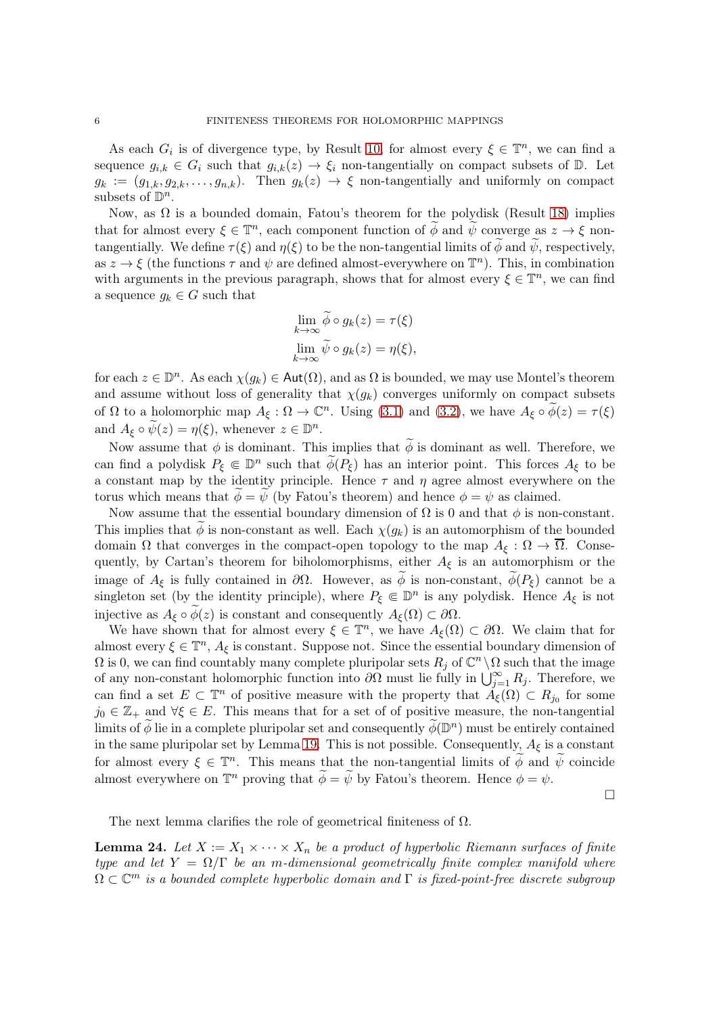As each  $G_i$  is of divergence type, by Result [10,](#page-2-1) for almost every  $\xi \in \mathbb{T}^n$ , we can find a sequence  $g_{i,k} \in G_i$  such that  $g_{i,k}(z) \to \xi_i$  non-tangentially on compact subsets of  $\mathbb{D}$ . Let  $g_k := (g_{1,k}, g_{2,k}, \ldots, g_{n,k}).$  Then  $g_k(z) \to \xi$  non-tangentially and uniformly on compact subsets of  $\mathbb{D}^n$ .

Now, as  $\Omega$  is a bounded domain, Fatou's theorem for the polydisk (Result [18\)](#page-3-1) implies that for almost every  $\xi \in \mathbb{T}^n$ , each component function of  $\widetilde{\phi}$  and  $\widetilde{\psi}$  converge as  $z \to \xi$  nontangentially. We define  $\tau(\xi)$  and  $\eta(\xi)$  to be the non-tangential limits of  $\widetilde{\phi}$  and  $\widetilde{\psi}$ , respectively, as  $z \to \xi$  (the functions  $\tau$  and  $\psi$  are defined almost-everywhere on  $\mathbb{T}^n$ ). This, in combination with arguments in the previous paragraph, shows that for almost every  $\xi \in \mathbb{T}^n$ , we can find a sequence  $g_k \in G$  such that

$$
\lim_{k \to \infty} \widetilde{\phi} \circ g_k(z) = \tau(\xi)
$$
  

$$
\lim_{k \to \infty} \widetilde{\psi} \circ g_k(z) = \eta(\xi),
$$

for each  $z \in \mathbb{D}^n$ . As each  $\chi(g_k) \in \mathsf{Aut}(\Omega)$ , and as  $\Omega$  is bounded, we may use Montel's theorem and assume without loss of generality that  $\chi(q_k)$  converges uniformly on compact subsets of  $\Omega$  to a holomorphic map  $A_{\xi}: \Omega \to \mathbb{C}^n$ . Using [\(3.1\)](#page-4-2) and [\(3.2\)](#page-4-3), we have  $A_{\xi} \circ \widetilde{\phi}(z) = \tau(\xi)$ and  $A_{\xi} \circ \widetilde{\psi}(z) = \eta(\xi)$ , whenever  $z \in \mathbb{D}^n$ .

Now assume that  $\phi$  is dominant. This implies that  $\widetilde{\phi}$  is dominant as well. Therefore, we can find a polydisk  $P_{\xi} \in \mathbb{D}^n$  such that  $\widetilde{\phi}(P_{\xi})$  has an interior point. This forces  $A_{\xi}$  to be a constant map by the identity principle. Hence  $\tau$  and  $\eta$  agree almost everywhere on the torus which means that  $\phi = \psi$  (by Fatou's theorem) and hence  $\phi = \psi$  as claimed.

Now assume that the essential boundary dimension of  $\Omega$  is 0 and that  $\phi$  is non-constant. This implies that  $\phi$  is non-constant as well. Each  $\chi(g_k)$  is an automorphism of the bounded domain  $\Omega$  that converges in the compact-open topology to the map  $A_{\xi} : \Omega \to \Omega$ . Consequently, by Cartan's theorem for biholomorphisms, either  $A_{\xi}$  is an automorphism or the image of  $A_{\xi}$  is fully contained in  $\partial\Omega$ . However, as  $\phi$  is non-constant,  $\phi(P_{\xi})$  cannot be a singleton set (by the identity principle), where  $P_{\xi} \in \mathbb{D}^n$  is any polydisk. Hence  $A_{\xi}$  is not injective as  $A_{\xi} \circ \phi(z)$  is constant and consequently  $A_{\xi}(\Omega) \subset \partial \Omega$ .

We have shown that for almost every  $\xi \in \mathbb{T}^n$ , we have  $A_{\xi}(\Omega) \subset \partial\Omega$ . We claim that for almost every  $\xi \in \mathbb{T}^n$ ,  $A_{\xi}$  is constant. Suppose not. Since the essential boundary dimension of  $\Omega$  is 0, we can find countably many complete pluripolar sets  $R_j$  of  $\mathbb{C}^n \setminus \Omega$  such that the image of any non-constant holomorphic function into  $\partial\Omega$  must lie fully in  $\bigcup_{j=1}^{\infty} R_j$ . Therefore, we can find a set  $E \subset \mathbb{T}^n$  of positive measure with the property that  $\tilde{A}_{\xi}(\Omega) \subset R_{j_0}$  for some  $j_0 \in \mathbb{Z}_+$  and  $\forall \xi \in E$ . This means that for a set of of positive measure, the non-tangential limits of  $\widetilde{\phi}$  lie in a complete pluripolar set and consequently  $\widetilde{\phi}(\mathbb{D}^n)$  must be entirely contained in the same pluripolar set by Lemma [19.](#page-4-4) This is not possible. Consequently,  $A_{\xi}$  is a constant for almost every  $\xi \in \mathbb{T}^n$ . This means that the non-tangential limits of  $\widetilde{\phi}$  and  $\widetilde{\psi}$  coincide almost everywhere on  $\mathbb{T}^n$  proving that  $\widetilde{\phi} = \widetilde{\psi}$  by Fatou's theorem. Hence  $\phi = \psi$ .

 $\Box$ 

The next lemma clarifies the role of geometrical finiteness of  $\Omega$ .

<span id="page-5-0"></span>**Lemma 24.** Let  $X := X_1 \times \cdots \times X_n$  be a product of hyperbolic Riemann surfaces of finite type and let  $Y = \Omega/\Gamma$  be an m-dimensional geometrically finite complex manifold where  $\Omega \subset \mathbb{C}^m$  is a bounded complete hyperbolic domain and  $\Gamma$  is fixed-point-free discrete subgroup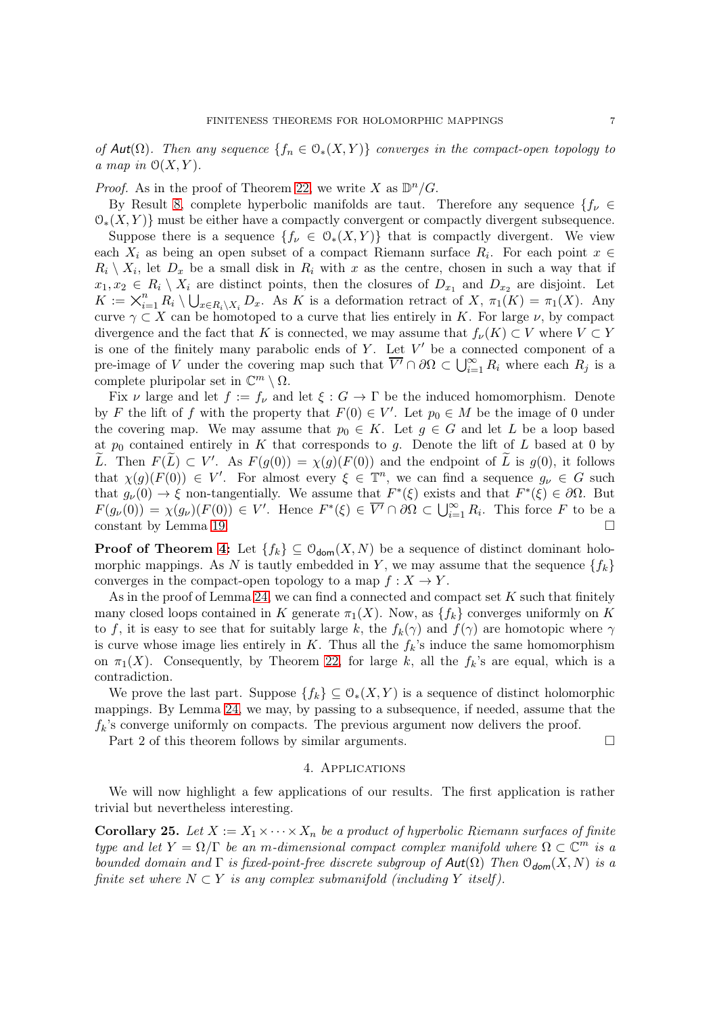of Aut( $\Omega$ ). Then any sequence  $\{f_n \in \mathcal{O}_*(X,Y)\}$  converges in the compact-open topology to a map in  $\mathcal{O}(X, Y)$ .

*Proof.* As in the proof of Theorem [22,](#page-4-1) we write X as  $\mathbb{D}^n/G$ .

By Result [8,](#page-2-2) complete hyperbolic manifolds are taut. Therefore any sequence  $\{f_{\nu} \in$  $\mathcal{O}_*(X, Y)$  must be either have a compactly convergent or compactly divergent subsequence.

Suppose there is a sequence  $\{f_\nu \in \mathcal{O}_*(X,Y)\}\$  that is compactly divergent. We view each  $X_i$  as being an open subset of a compact Riemann surface  $R_i$ . For each point  $x \in$  $R_i \setminus X_i$ , let  $D_x$  be a small disk in  $R_i$  with x as the centre, chosen in such a way that if  $x_1, x_2 \in R_i \setminus X_i$  are distinct points, then the closures of  $D_{x_1}$  and  $D_{x_2}$  are disjoint. Let  $K := \times_{i=1}^n R_i \setminus \bigcup_{x \in R_i \setminus X_i} D_x$ . As K is a deformation retract of X,  $\pi_1(K) = \pi_1(K)$ . Any curve  $\gamma \subset X$  can be homotoped to a curve that lies entirely in K. For large  $\nu$ , by compact divergence and the fact that K is connected, we may assume that  $f_{\nu}(K) \subset V$  where  $V \subset Y$ is one of the finitely many parabolic ends of  $Y$ . Let  $V'$  be a connected component of a pre-image of V under the covering map such that  $\overline{V'} \cap \partial\Omega \subset \bigcup_{i=1}^{\infty} R_i$  where each  $R_j$  is a complete pluripolar set in  $\mathbb{C}^m \setminus \Omega$ .

Fix  $\nu$  large and let  $f := f_{\nu}$  and let  $\xi : G \to \Gamma$  be the induced homomorphism. Denote by F the lift of f with the property that  $F(0) \in V'$ . Let  $p_0 \in M$  be the image of 0 under the covering map. We may assume that  $p_0 \in K$ . Let  $g \in G$  and let L be a loop based at  $p_0$  contained entirely in K that corresponds to g. Denote the lift of L based at 0 by L. Then  $F(L) \subset V'$ . As  $F(g(0)) = \chi(g)(F(0))$  and the endpoint of L is  $g(0)$ , it follows that  $\chi(g)(F(0)) \in V'$ . For almost every  $\xi \in \mathbb{T}^n$ , we can find a sequence  $g_{\nu} \in G$  such that  $g_{\nu}(0) \to \xi$  non-tangentially. We assume that  $F^*(\xi)$  exists and that  $F^*(\xi) \in \partial\Omega$ . But  $F(g_{\nu}(0)) = \chi(g_{\nu})(F(0)) \in V'$ . Hence  $F^*(\xi) \in \overline{V'} \cap \partial\Omega \subset \bigcup_{i=1}^{\infty} R_i$ . This force F to be a constant by Lemma [19.](#page-4-4)

**Proof of Theorem [4:](#page-1-2)** Let  $\{f_k\} \subseteq \mathcal{O}_{\text{dom}}(X, N)$  be a sequence of distinct dominant holomorphic mappings. As N is tautly embedded in Y, we may assume that the sequence  $\{f_k\}$ converges in the compact-open topology to a map  $f: X \to Y$ .

As in the proof of Lemma [24,](#page-5-0) we can find a connected and compact set  $K$  such that finitely many closed loops contained in K generate  $\pi_1(X)$ . Now, as  $\{f_k\}$  converges uniformly on K to f, it is easy to see that for suitably large k, the  $f_k(\gamma)$  and  $f(\gamma)$  are homotopic where  $\gamma$ is curve whose image lies entirely in K. Thus all the  $f_k$ 's induce the same homomorphism on  $\pi_1(X)$ . Consequently, by Theorem [22,](#page-4-1) for large k, all the  $f_k$ 's are equal, which is a contradiction.

We prove the last part. Suppose  $\{f_k\} \subseteq \mathcal{O}_*(X, Y)$  is a sequence of distinct holomorphic mappings. By Lemma [24,](#page-5-0) we may, by passing to a subsequence, if needed, assume that the  $f_k$ 's converge uniformly on compacts. The previous argument now delivers the proof.

<span id="page-6-0"></span>Part 2 of this theorem follows by similar arguments.

#### 4. Applications

We will now highlight a few applications of our results. The first application is rather trivial but nevertheless interesting.

**Corollary 25.** Let  $X := X_1 \times \cdots \times X_n$  be a product of hyperbolic Riemann surfaces of finite type and let  $Y = \Omega/\Gamma$  be an m-dimensional compact complex manifold where  $\Omega \subset \mathbb{C}^m$  is a bounded domain and  $\Gamma$  is fixed-point-free discrete subgroup of  $Aut(\Omega)$  Then  $\mathcal{O}_{dom}(X, N)$  is a finite set where  $N \subset Y$  is any complex submanifold (including Y itself).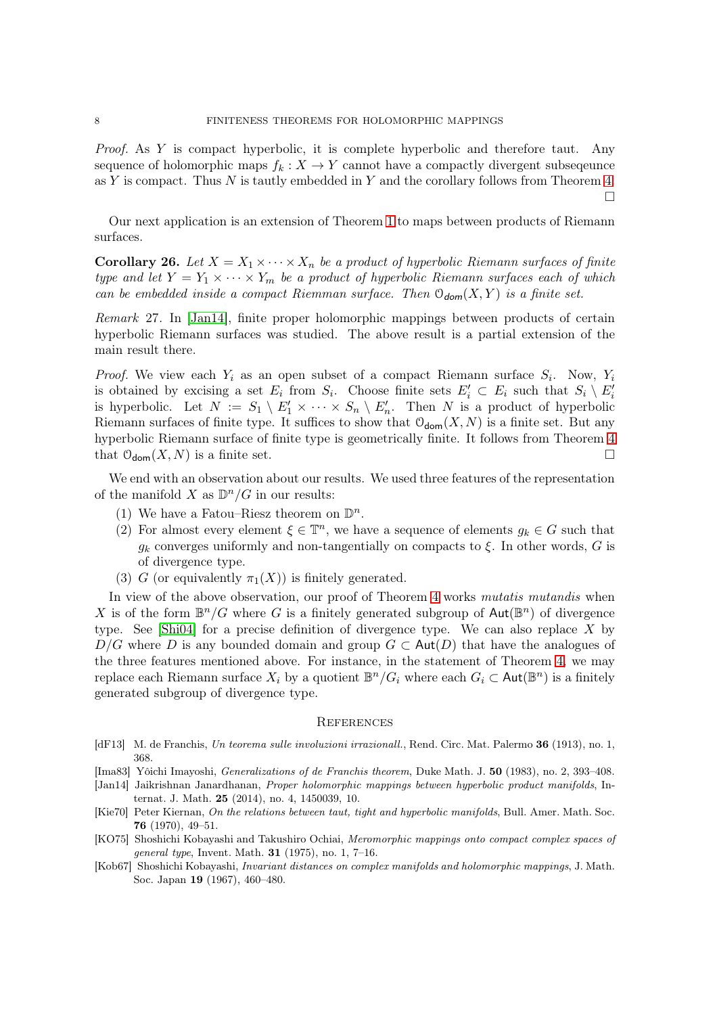Proof. As Y is compact hyperbolic, it is complete hyperbolic and therefore taut. Any sequence of holomorphic maps  $f_k : X \to Y$  cannot have a compactly divergent subsequence as Y is compact. Thus  $N$  is tautly embedded in Y and the corollary follows from Theorem [4.](#page-1-2)  $\Box$ 

Our next application is an extension of Theorem [1](#page-0-0) to maps between products of Riemann surfaces.

**Corollary 26.** Let  $X = X_1 \times \cdots \times X_n$  be a product of hyperbolic Riemann surfaces of finite type and let  $Y = Y_1 \times \cdots \times Y_m$  be a product of hyperbolic Riemann surfaces each of which can be embedded inside a compact Riemman surface. Then  $\mathcal{O}_{dom}(X, Y)$  is a finite set.

Remark 27. In [\[Jan14\]](#page-7-5), finite proper holomorphic mappings between products of certain hyperbolic Riemann surfaces was studied. The above result is a partial extension of the main result there.

*Proof.* We view each  $Y_i$  as an open subset of a compact Riemann surface  $S_i$ . Now,  $Y_i$ is obtained by excising a set  $E_i$  from  $S_i$ . Choose finite sets  $E'_i \subset E_i$  such that  $S_i \setminus E'_i$ is hyperbolic. Let  $N := S_1 \setminus E'_1 \times \cdots \times S_n \setminus E'_n$ . Then N is a product of hyperbolic Riemann surfaces of finite type. It suffices to show that  $\mathcal{O}_{\text{dom}}(X, N)$  is a finite set. But any hyperbolic Riemann surface of finite type is geometrically finite. It follows from Theorem [4](#page-1-2) that  $\mathcal{O}_{\text{dom}}(X, N)$  is a finite set.

We end with an observation about our results. We used three features of the representation of the manifold X as  $\mathbb{D}^n/G$  in our results:

- (1) We have a Fatou–Riesz theorem on  $\mathbb{D}^n$ .
- (2) For almost every element  $\xi \in \mathbb{T}^n$ , we have a sequence of elements  $g_k \in G$  such that  $g_k$  converges uniformly and non-tangentially on compacts to  $\xi$ . In other words, G is of divergence type.
- (3) G (or equivalently  $\pi_1(X)$ ) is finitely generated.

In view of the above observation, our proof of Theorem [4](#page-1-2) works mutatis mutandis when X is of the form  $\mathbb{B}^n/G$  where G is a finitely generated subgroup of  $\text{Aut}(\mathbb{B}^n)$  of divergence type. See [\[Shi04\]](#page-8-2) for a precise definition of divergence type. We can also replace X by D/G where D is any bounded domain and group  $G \subset \text{Aut}(D)$  that have the analogues of the three features mentioned above. For instance, in the statement of Theorem [4,](#page-1-2) we may replace each Riemann surface  $X_i$  by a quotient  $\mathbb{B}^n/G_i$  where each  $G_i \subset \text{Aut}(\mathbb{B}^n)$  is a finitely generated subgroup of divergence type.

#### **REFERENCES**

- <span id="page-7-0"></span>[dF13] M. de Franchis, Un teorema sulle involuzioni irrazionall., Rend. Circ. Mat. Palermo 36 (1913), no. 1, 368.
- <span id="page-7-1"></span>[Ima83] Yôichi Imayoshi, Generalizations of de Franchis theorem, Duke Math. J. 50 (1983), no. 2, 393–408.
- <span id="page-7-5"></span>[Jan14] Jaikrishnan Janardhanan, Proper holomorphic mappings between hyperbolic product manifolds, Internat. J. Math. 25 (2014), no. 4, 1450039, 10.
- <span id="page-7-4"></span>[Kie70] Peter Kiernan, On the relations between taut, tight and hyperbolic manifolds, Bull. Amer. Math. Soc. 76 (1970), 49–51.
- <span id="page-7-2"></span>[KO75] Shoshichi Kobayashi and Takushiro Ochiai, Meromorphic mappings onto compact complex spaces of general type, Invent. Math. 31 (1975), no. 1, 7–16.
- <span id="page-7-3"></span>[Kob67] Shoshichi Kobayashi, Invariant distances on complex manifolds and holomorphic mappings, J. Math. Soc. Japan 19 (1967), 460–480.